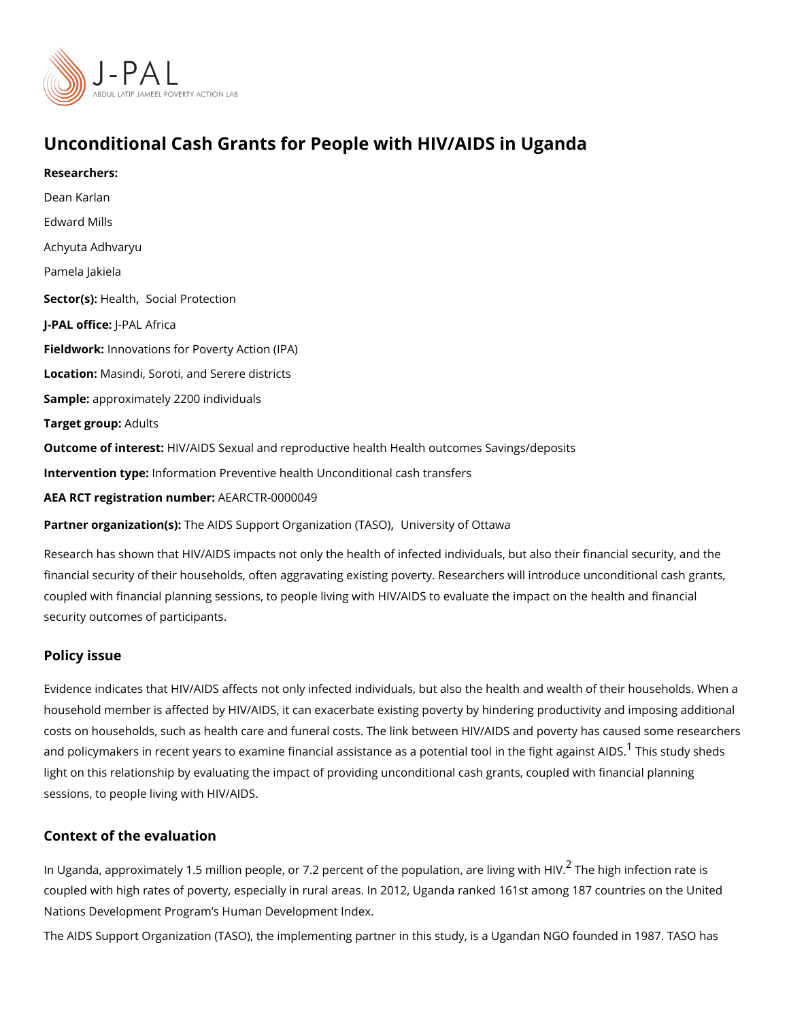# Unconditional Cash Grants for People with HIV/AIDS in Ugal

Researchers: [Dean Ka](https://www.povertyactionlab.org/person/karlan)rlan Edward Mills [Achyuta Adh](https://www.povertyactionlab.org/person/adhvaryu)varyu [Pamela J](https://www.povertyactionlab.org/person/jakiela)akiela Sector( $\forall$ tealth [Social Prot](https://www.povertyactionlab.org/sector/social-protection)ection J-PAL offlicReAL Africa Fieldworkhovations for Poverty Action (IPA) LocatioM: asindi, Soroti, and Serere districts Sample: proximately 2200 individuals Target gro $A$ dults Outcome of inteHe & talDS Sexual and reproductive health Health outcomes Savings/deposit Intervention tympfeo: rmation Preventive health Unconditional cash transfers

AEA RCT registration ArEuAnRbCeTR-0000049

Partner organizatTone(s) DS Support OrganizaUtnione (JiASO) Ottawa

Research has shown that HIV/AIDS impacts not only the health of infected individuals, bu financial security of their households, often aggravating existing poverty. Researchers wi coupled with financial planning sessions, to people living with HIV/AIDS to evaluate the i security outcomes of participants.

#### Policy issue

Evidence indicates that HIV/AIDS affects not only infected individuals, but also the health household member is affected by HIV/AIDS, it can exacerbate existing poverty by hindering costs on households, such as health care and funeral costs. The link between HIV/AIDS a and policymakers in recent years to examine financial assistance as a <sup>[1](#page-2-0)</sup>pbhesnts audy oshends h light on this relationship by evaluating the impact of providing unconditional cash grants, sessions, to people living with HIV/AIDS.

### Context of the evaluation

In Uganda, approximately 1.5 million people, or 7.[2](#page-2-0) percent of  $\widehat{\mathsf{f}}$ hTehpohpioglhatinofne,chainen lniathegis coupled with high rates of poverty, especially in rural areas. In 2012, Uganda ranked 161 Nations Development Program s Human Development Index.

The AIDS Support Organization (TASO), the implementing partner in this study, is a Ugan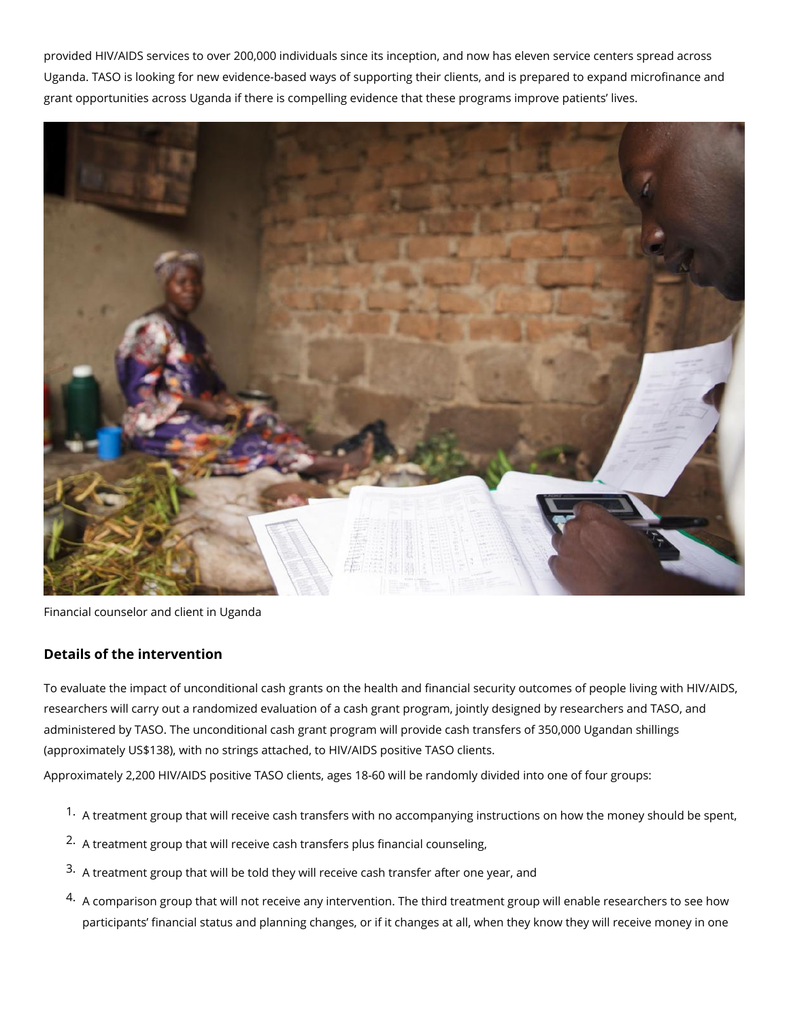provided HIV/AIDS services to over 200,000 individuals since its inception, and now has eleven service centers spread across Uganda. TASO is looking for new evidence-based ways of supporting their clients, and is prepared to expand microfinance and grant opportunities across Uganda if there is compelling evidence that these programs improve patients' lives.



Financial counselor and client in Uganda

## **Details of the intervention**

To evaluate the impact of unconditional cash grants on the health and financial security outcomes of people living with HIV/AIDS, researchers will carry out a randomized evaluation of a cash grant program, jointly designed by researchers and TASO, and administered by TASO. The unconditional cash grant program will provide cash transfers of 350,000 Ugandan shillings (approximately US\$138), with no strings attached, to HIV/AIDS positive TASO clients.

Approximately 2,200 HIV/AIDS positive TASO clients, ages 18-60 will be randomly divided into one of four groups:

- $1.$  A treatment group that will receive cash transfers with no accompanying instructions on how the money should be spent,
- <sup>2.</sup> A treatment group that will receive cash transfers plus financial counseling,
- 3. A treatment group that will be told they will receive cash transfer after one year, and
- 4. A comparison group that will not receive any intervention. The third treatment group will enable researchers to see how participants' financial status and planning changes, or if it changes at all, when they know they will receive money in one